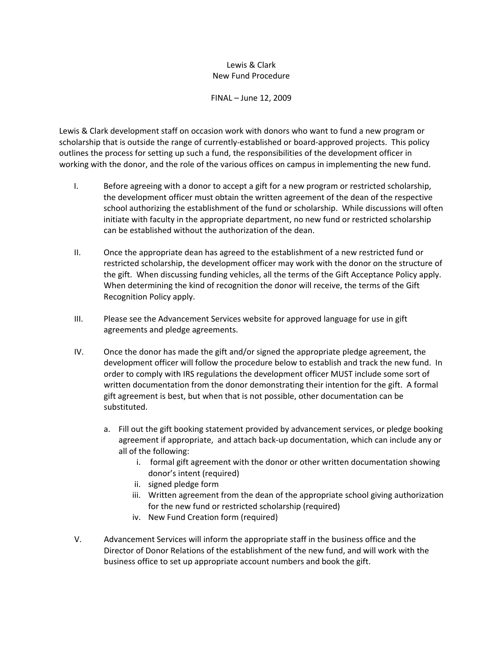## Lewis & Clark New Fund Procedure

FINAL – June 12, 2009

Lewis & Clark development staff on occasion work with donors who want to fund a new program or scholarship that is outside the range of currently‐established or board‐approved projects. This policy outlines the process for setting up such a fund, the responsibilities of the development officer in working with the donor, and the role of the various offices on campus in implementing the new fund.

- I. Before agreeing with a donor to accept a gift for a new program or restricted scholarship, the development officer must obtain the written agreement of the dean of the respect ive school authorizing the establishment of the fund or scholarship. While discussions will often initiate with faculty in the appropriate department, no new fund or restricted scholarship can be established without the authorization of the dean.
- II. Once the appropriate dean has agreed to the establishment of a new restricted fund or restricted scholarship, the development officer may work with the donor on the structure of the gift. When discussing funding vehicles, all the terms of the Gift Acceptance Policy apply. When determining the kind of recognition the donor will receive, the terms of the Gift Recognition Policy apply.
- agreements and pledge agreements. III. Please see the Advancement Services website for approved language for use in gift
- IV. Once the donor has made the gift and/or signed the appropriate pledge agreement, the development officer will follow the procedure below to establish and track the new fund. In order to comply with IRS regulations the development officer MUST include some sort of written documentation from the donor demonstrating their intention for the gift. A formal gift agreement is best, but when that is not possible, other documentation can be substituted.
	- a. Fill out the gift booking statement provided by advancement services, or pledge booking agreement if appropriate, and attach back‐up documentation, which can include any or all of the following:
		- i. formal gift agreement with the donor or other written documentation showing donor's intent (required)
		- ii. signed pledge form
		- iii. Written agreement from the dean of the appropriate school giving authorization for the new fund or restricted scholarship (required)
		- iv. New Fund Creation form (required)
- business office to set up appropriate account numbers and book the gift. V. Advancement Services will inform the appropriate staff in the business office and the Director of Donor Relations of the establishment of the new fund, and will work with the